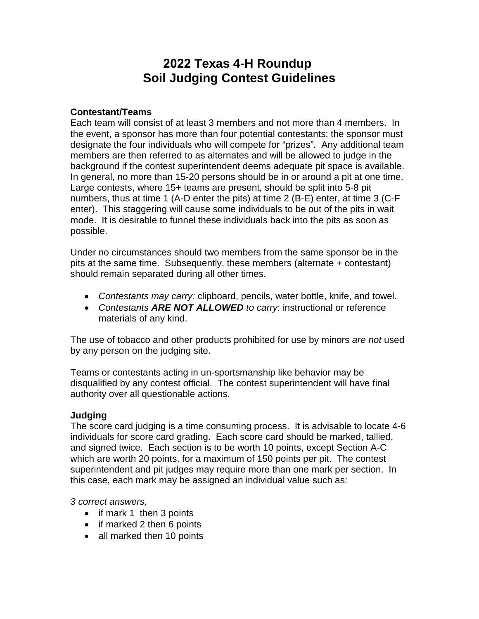# **2022 Texas 4-H Roundup Soil Judging Contest Guidelines**

### **Contestant/Teams**

Each team will consist of at least 3 members and not more than 4 members. In the event, a sponsor has more than four potential contestants; the sponsor must designate the four individuals who will compete for "prizes". Any additional team members are then referred to as alternates and will be allowed to judge in the background if the contest superintendent deems adequate pit space is available. In general, no more than 15-20 persons should be in or around a pit at one time. Large contests, where 15+ teams are present, should be split into 5-8 pit numbers, thus at time 1 (A-D enter the pits) at time 2 (B-E) enter, at time 3 (C-F enter). This staggering will cause some individuals to be out of the pits in wait mode. It is desirable to funnel these individuals back into the pits as soon as possible.

Under no circumstances should two members from the same sponsor be in the pits at the same time. Subsequently, these members (alternate + contestant) should remain separated during all other times.

- *Contestants may carry:* clipboard, pencils, water bottle, knife, and towel.
- *Contestants ARE NOT ALLOWED to carry*: instructional or reference materials of any kind.

The use of tobacco and other products prohibited for use by minors *are not* used by any person on the judging site.

Teams or contestants acting in un-sportsmanship like behavior may be disqualified by any contest official. The contest superintendent will have final authority over all questionable actions.

#### **Judging**

The score card judging is a time consuming process. It is advisable to locate 4-6 individuals for score card grading. Each score card should be marked, tallied, and signed twice. Each section is to be worth 10 points, except Section A-C which are worth 20 points, for a maximum of 150 points per pit. The contest superintendent and pit judges may require more than one mark per section. In this case, each mark may be assigned an individual value such as:

#### *3 correct answers,*

- if mark 1 then 3 points
- if marked 2 then 6 points
- all marked then 10 points